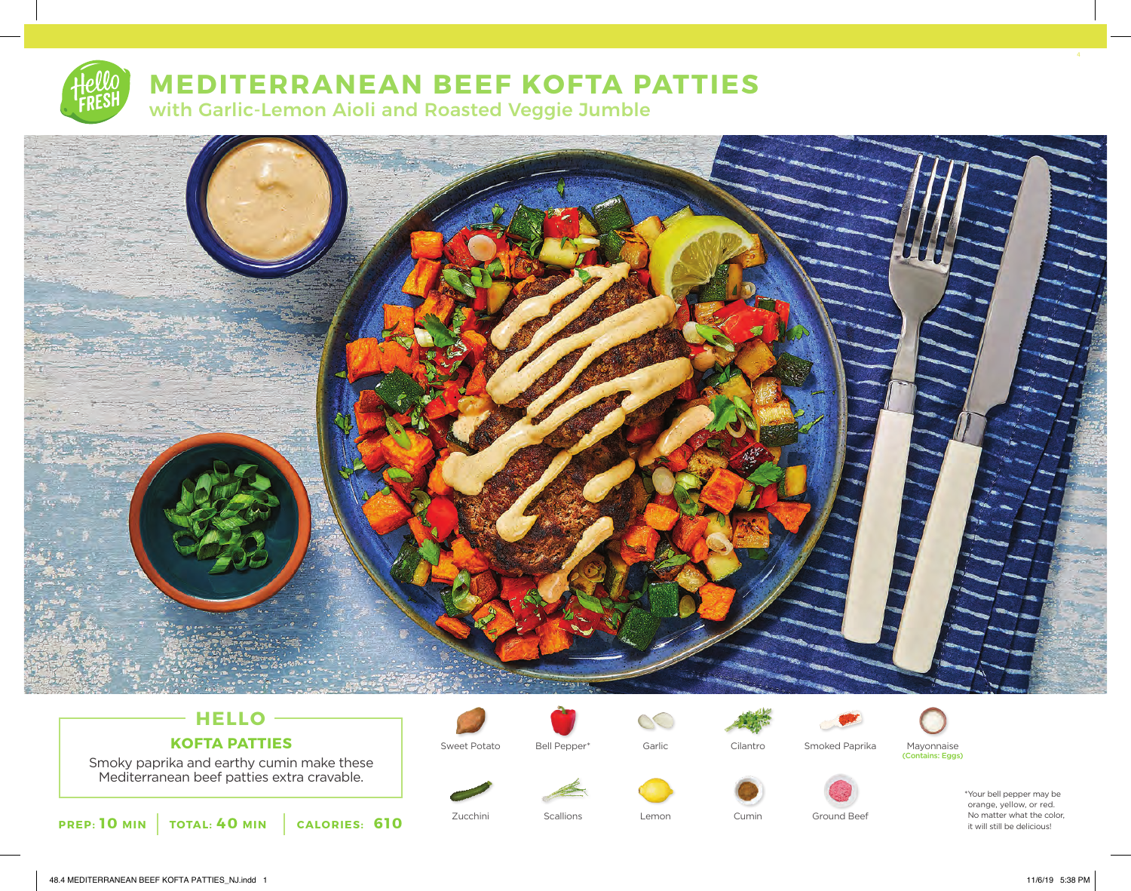# **MEDITERRANEAN BEEF KOFTA PATTIES**

with Garlic-Lemon Aioli and Roasted Veggie Jumble



## **HELLO KOFTA PATTIES**

Smoky paprika and earthy cumin make these Mediterranean beef patties extra cravable.

**PREP: 10 MIN TOTAL: 40 MIN CALORIES: 610**



Sweet Potato Cilantro Mayonnaise Bell Pepper\* Garlic Smoked Paprika

 $\circlearrowright$ 





Zucchini Scallions Lemon Cumin Ground Beef

\*Your bell pepper may be orange, yellow, or red. No matter what the color, it will still be delicious!

48.4 MEDITERRANEAN BEEF KOFTA PATTIES\_NJ.indd 1 1 11/6/19 5:38 PM